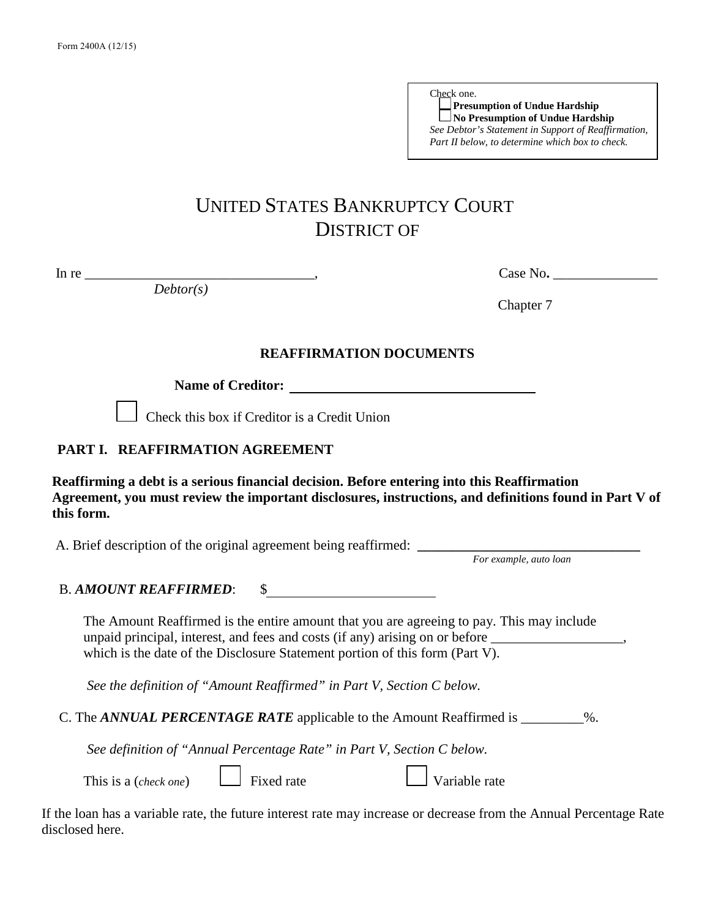| Check one.                                          |
|-----------------------------------------------------|
| Presumption of Undue Hardship                       |
| $\Box$ No Presumption of Undue Hardship             |
| See Debtor's Statement in Support of Reaffirmation, |
| Part II below, to determine which box to check.     |

# UNITED STATES BANKRUPTCY COURT DISTRICT OF

*Debtor(s)*

In re \_\_\_\_\_\_\_\_\_\_\_\_\_\_\_\_\_\_\_\_\_\_\_\_\_\_\_\_\_\_\_\_\_, Case No**.** \_\_\_\_\_\_\_\_\_\_\_\_\_\_\_

Chapter 7

#### **REAFFIRMATION DOCUMENTS**

**Name of Creditor:**

Check this box if Creditor is a Credit Union

### **PART I. REAFFIRMATION AGREEMENT**

 **Reaffirming a debt is a serious financial decision. Before entering into this Reaffirmation Agreement, you must review the important disclosures, instructions, and definitions found in Part V of this form.**

A. Brief description of the original agreement being reaffirmed: **\_\_\_\_\_\_\_\_\_\_\_\_\_\_\_\_\_\_\_\_\_\_\_\_\_\_\_\_\_\_\_\_**

*For example, auto loan*

# B. *AMOUNT REAFFIRMED*: \$

The Amount Reaffirmed is the entire amount that you are agreeing to pay. This may include unpaid principal, interest, and fees and costs (if any) arising on or before \_\_\_\_\_\_\_\_\_\_\_ which is the date of the Disclosure Statement portion of this form (Part V).

*See the definition of "Amount Reaffirmed" in Part V, Section C below.* 

C. The *ANNUAL PERCENTAGE RATE* applicable to the Amount Reaffirmed is \_\_\_\_\_\_\_\_\_%.

*See definition of "Annual Percentage Rate" in Part V, Section C below.* 

| This is a (check one |  |  |
|----------------------|--|--|
|----------------------|--|--|

 $\Box$  Fixed rate  $\Box$  Variable rate

If the loan has a variable rate, the future interest rate may increase or decrease from the Annual Percentage Rate disclosed here.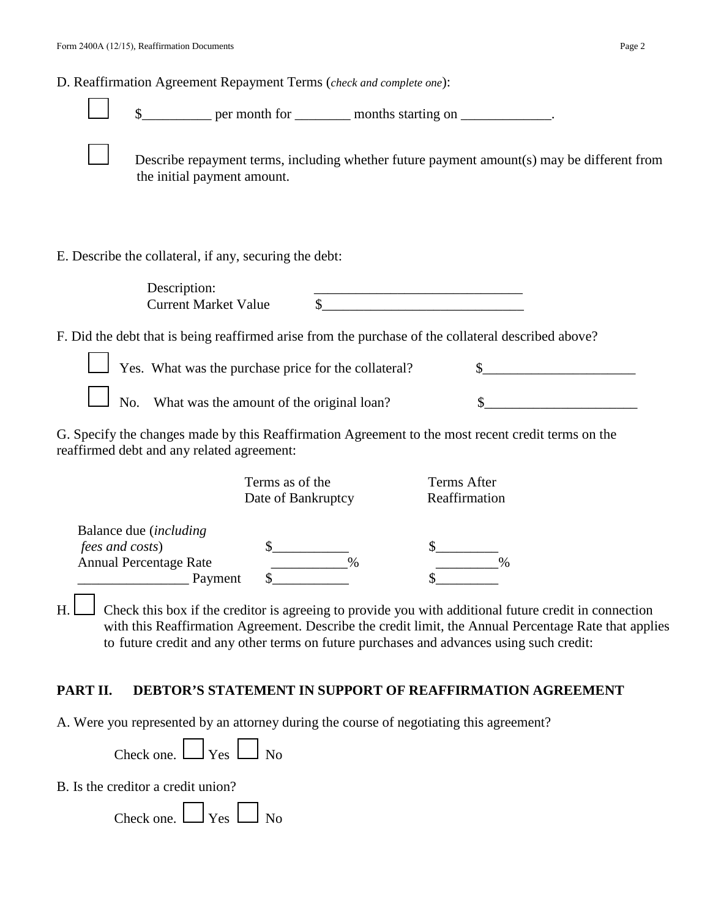D. Reaffirmation Agreement Repayment Terms (*check and complete one*):

|  | S |  |
|--|---|--|
|  |   |  |

 $\frac{1}{2}$  per month for \_\_\_\_\_\_\_\_\_ months starting on \_\_\_\_\_\_\_\_\_\_\_\_\_.

Describe repayment terms, including whether future payment amount(s) may be different from the initial payment amount.

E. Describe the collateral, if any, securing the debt:

| Description:                |  |
|-----------------------------|--|
| <b>Current Market Value</b> |  |

F. Did the debt that is being reaffirmed arise from the purchase of the collateral described above?

| $\Box$ Yes. What was the purchase price for the collateral? |  |
|-------------------------------------------------------------|--|
| $\Box$ No. What was the amount of the original loan?        |  |

G. Specify the changes made by this Reaffirmation Agreement to the most recent credit terms on the reaffirmed debt and any related agreement:

| Terms as of the<br>Date of Bankruptcy             |      | Terms After<br>Reaffirmation |  |
|---------------------------------------------------|------|------------------------------|--|
| Balance due (including<br><i>fees and costs</i> ) |      |                              |  |
| <b>Annual Percentage Rate</b>                     | $\%$ | $\%$                         |  |
| Payment                                           |      |                              |  |

H. Check this box if the creditor is agreeing to provide you with additional future credit in connection with this Reaffirmation Agreement. Describe the credit limit, the Annual Percentage Rate that applies to future credit and any other terms on future purchases and advances using such credit:

#### **PART II. DEBTOR'S STATEMENT IN SUPPORT OF REAFFIRMATION AGREEMENT**

A. Were you represented by an attorney during the course of negotiating this agreement?

| Check one. L | $\Box$ Yes | $\Box$ No |
|--------------|------------|-----------|
|              |            |           |

'n

B. Is the creditor a credit union?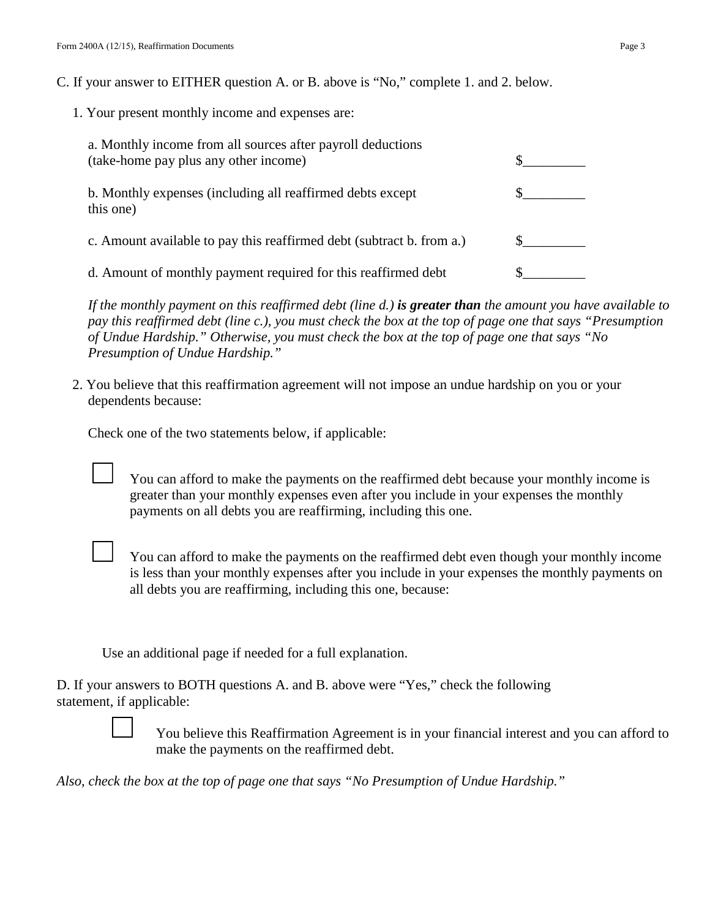C. If your answer to EITHER question A. or B. above is "No," complete 1. and 2. below.

1. Your present monthly income and expenses are:

| a. Monthly income from all sources after payroll deductions<br>(take-home pay plus any other income) |  |
|------------------------------------------------------------------------------------------------------|--|
| b. Monthly expenses (including all reaffirmed debts except<br>this one)                              |  |
| c. Amount available to pay this reaffirmed debt (subtract b. from a.)                                |  |
| d. Amount of monthly payment required for this reaffirmed debt                                       |  |

*If the monthly payment on this reaffirmed debt (line d.) is greater than the amount you have available to pay this reaffirmed debt (line c.), you must check the box at the top of page one that says "Presumption of Undue Hardship." Otherwise, you must check the box at the top of page one that says "No Presumption of Undue Hardship."* 

2. You believe that this reaffirmation agreement will not impose an undue hardship on you or your dependents because:

Check one of the two statements below, if applicable:

You can afford to make the payments on the reaffirmed debt because your monthly income is greater than your monthly expenses even after you include in your expenses the monthly payments on all debts you are reaffirming, including this one.



You can afford to make the payments on the reaffirmed debt even though your monthly income is less than your monthly expenses after you include in your expenses the monthly payments on all debts you are reaffirming, including this one, because:

Use an additional page if needed for a full explanation.

D. If your answers to BOTH questions A. and B. above were "Yes," check the following statement, if applicable:



You believe this Reaffirmation Agreement is in your financial interest and you can afford to make the payments on the reaffirmed debt.

*Also, check the box at the top of page one that says "No Presumption of Undue Hardship."*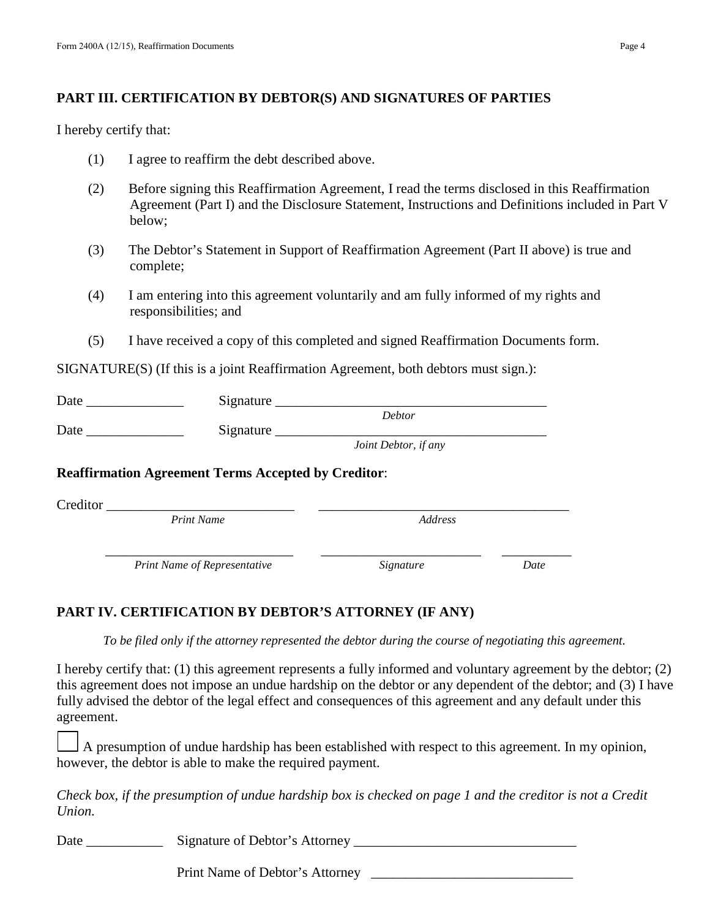### **PART III. CERTIFICATION BY DEBTOR(S) AND SIGNATURES OF PARTIES**

I hereby certify that:

- (1) I agree to reaffirm the debt described above.
- (2) Before signing this Reaffirmation Agreement, I read the terms disclosed in this Reaffirmation Agreement (Part I) and the Disclosure Statement, Instructions and Definitions included in Part V below;
- (3) The Debtor's Statement in Support of Reaffirmation Agreement (Part II above) is true and complete;
- (4) I am entering into this agreement voluntarily and am fully informed of my rights and responsibilities; and
- (5) I have received a copy of this completed and signed Reaffirmation Documents form.

SIGNATURE(S) (If this is a joint Reaffirmation Agreement, both debtors must sign.):

| Date | Signature |                      |  |
|------|-----------|----------------------|--|
|      |           | <b>Debtor</b>        |  |
| Date | Signature |                      |  |
|      |           | Joint Debtor, if any |  |

### **Reaffirmation Agreement Terms Accepted by Creditor**:

Creditor \_\_\_\_\_\_\_\_\_\_\_\_\_\_\_\_\_\_\_\_\_\_\_\_\_\_\_ \_\_\_\_\_\_\_\_\_\_\_\_\_\_\_\_\_\_\_\_\_\_\_\_\_\_\_\_\_\_\_\_\_\_\_\_

*Print Name* 

*Print Name of Representative Signature Date*

# **PART IV. CERTIFICATION BY DEBTOR'S ATTORNEY (IF ANY)**

 *To be filed only if the attorney represented the debtor during the course of negotiating this agreement.* 

I hereby certify that: (1) this agreement represents a fully informed and voluntary agreement by the debtor; (2) this agreement does not impose an undue hardship on the debtor or any dependent of the debtor; and (3) I have fully advised the debtor of the legal effect and consequences of this agreement and any default under this agreement.

A presumption of undue hardship has been established with respect to this agreement. In my opinion, however, the debtor is able to make the required payment.

 *Check box, if the presumption of undue hardship box is checked on page 1 and the creditor is not a Credit Union.* 

Date \_\_\_\_\_\_\_\_\_\_\_ Signature of Debtor's Attorney \_\_\_\_\_\_\_\_\_\_\_\_\_\_\_\_\_\_\_\_\_\_\_\_\_\_\_\_\_\_\_\_

Print Name of Debtor's Attorney

\_\_\_\_\_\_\_\_\_\_\_\_\_\_\_\_\_\_\_\_\_\_\_\_\_\_\_ \_\_\_\_\_\_\_\_\_\_\_\_\_\_\_\_\_\_\_\_\_\_\_ \_\_\_\_\_\_\_\_\_\_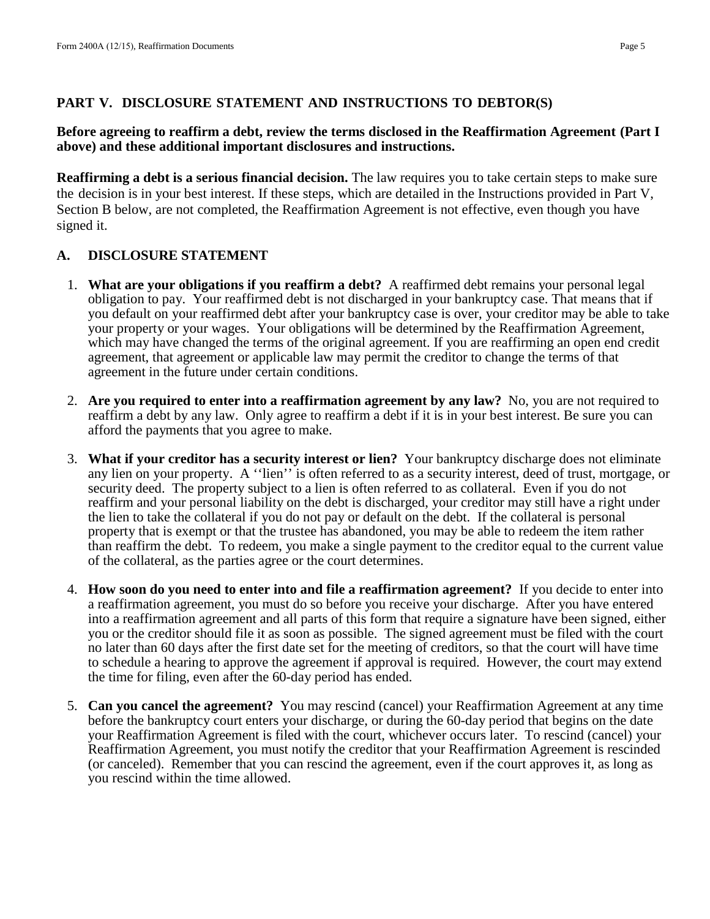#### **PART V. DISCLOSURE STATEMENT AND INSTRUCTIONS TO DEBTOR(S)**

#### **Before agreeing to reaffirm a debt, review the terms disclosed in the Reaffirmation Agreement (Part I above) and these additional important disclosures and instructions.**

**Reaffirming a debt is a serious financial decision.** The law requires you to take certain steps to make sure the decision is in your best interest. If these steps, which are detailed in the Instructions provided in Part V, Section B below, are not completed, the Reaffirmation Agreement is not effective, even though you have signed it.

### **A. DISCLOSURE STATEMENT**

- 1. **What are your obligations if you reaffirm a debt?** A reaffirmed debt remains your personal legal obligation to pay. Your reaffirmed debt is not discharged in your bankruptcy case. That means that if you default on your reaffirmed debt after your bankruptcy case is over, your creditor may be able to take your property or your wages. Your obligations will be determined by the Reaffirmation Agreement, which may have changed the terms of the original agreement. If you are reaffirming an open end credit agreement, that agreement or applicable law may permit the creditor to change the terms of that agreement in the future under certain conditions.
- 2. **Are you required to enter into a reaffirmation agreement by any law?** No, you are not required to reaffirm a debt by any law. Only agree to reaffirm a debt if it is in your best interest. Be sure you can afford the payments that you agree to make.
- 3. **What if your creditor has a security interest or lien?** Your bankruptcy discharge does not eliminate any lien on your property. A ''lien'' is often referred to as a security interest, deed of trust, mortgage, or security deed. The property subject to a lien is often referred to as collateral. Even if you do not reaffirm and your personal liability on the debt is discharged, your creditor may still have a right under the lien to take the collateral if you do not pay or default on the debt. If the collateral is personal property that is exempt or that the trustee has abandoned, you may be able to redeem the item rather than reaffirm the debt. To redeem, you make a single payment to the creditor equal to the current value of the collateral, as the parties agree or the court determines.
- 4. **How soon do you need to enter into and file a reaffirmation agreement?** If you decide to enter into a reaffirmation agreement, you must do so before you receive your discharge. After you have entered into a reaffirmation agreement and all parts of this form that require a signature have been signed, either you or the creditor should file it as soon as possible. The signed agreement must be filed with the court no later than 60 days after the first date set for the meeting of creditors, so that the court will have time to schedule a hearing to approve the agreement if approval is required. However, the court may extend the time for filing, even after the 60-day period has ended.
- 5. **Can you cancel the agreement?** You may rescind (cancel) your Reaffirmation Agreement at any time before the bankruptcy court enters your discharge, or during the 60-day period that begins on the date your Reaffirmation Agreement is filed with the court, whichever occurs later. To rescind (cancel) your Reaffirmation Agreement, you must notify the creditor that your Reaffirmation Agreement is rescinded (or canceled). Remember that you can rescind the agreement, even if the court approves it, as long as you rescind within the time allowed.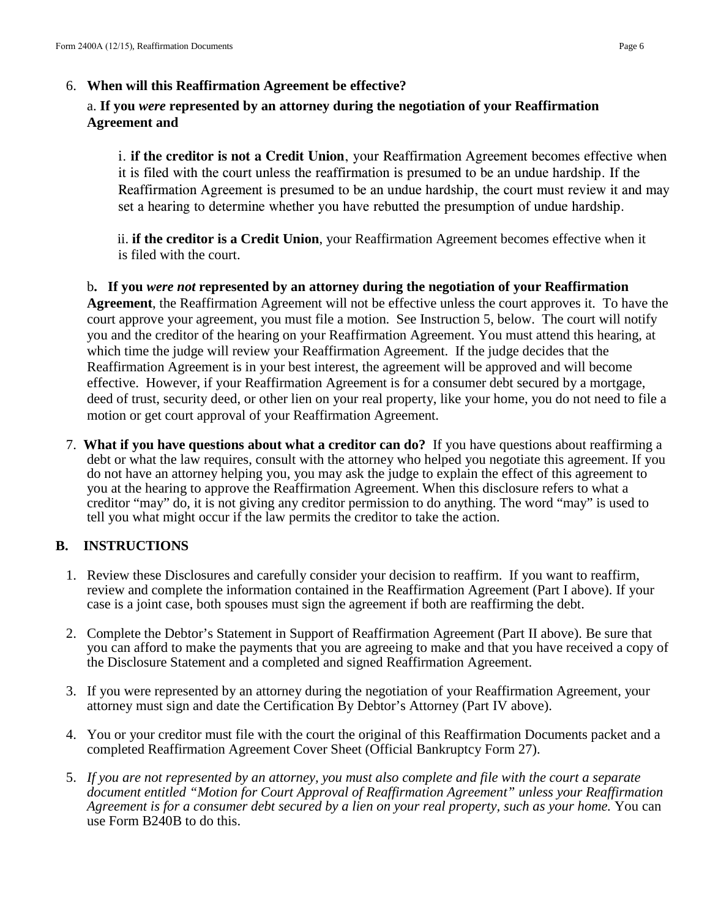### a. **If you** *were* **represented by an attorney during the negotiation of your Reaffirmation Agreement and**

i. **if the creditor is not a Credit Union**, your Reaffirmation Agreement becomes effective when it is filed with the court unless the reaffirmation is presumed to be an undue hardship. If the Reaffirmation Agreement is presumed to be an undue hardship, the court must review it and may set a hearing to determine whether you have rebutted the presumption of undue hardship.

ii. **if the creditor is a Credit Union**, your Reaffirmation Agreement becomes effective when it is filed with the court.

b**. If you** *were not* **represented by an attorney during the negotiation of your Reaffirmation Agreement**, the Reaffirmation Agreement will not be effective unless the court approves it. To have the court approve your agreement, you must file a motion. See Instruction 5, below. The court will notify you and the creditor of the hearing on your Reaffirmation Agreement. You must attend this hearing, at which time the judge will review your Reaffirmation Agreement. If the judge decides that the Reaffirmation Agreement is in your best interest, the agreement will be approved and will become effective. However, if your Reaffirmation Agreement is for a consumer debt secured by a mortgage, deed of trust, security deed, or other lien on your real property, like your home, you do not need to file a motion or get court approval of your Reaffirmation Agreement.

7. **What if you have questions about what a creditor can do?** If you have questions about reaffirming a debt or what the law requires, consult with the attorney who helped you negotiate this agreement. If you do not have an attorney helping you, you may ask the judge to explain the effect of this agreement to you at the hearing to approve the Reaffirmation Agreement. When this disclosure refers to what a creditor "may" do, it is not giving any creditor permission to do anything. The word "may" is used to tell you what might occur if the law permits the creditor to take the action.

# **B. INSTRUCTIONS**

- 1. Review these Disclosures and carefully consider your decision to reaffirm. If you want to reaffirm, review and complete the information contained in the Reaffirmation Agreement (Part I above). If your case is a joint case, both spouses must sign the agreement if both are reaffirming the debt.
- 2. Complete the Debtor's Statement in Support of Reaffirmation Agreement (Part II above). Be sure that you can afford to make the payments that you are agreeing to make and that you have received a copy of the Disclosure Statement and a completed and signed Reaffirmation Agreement.
- 3. If you were represented by an attorney during the negotiation of your Reaffirmation Agreement, your attorney must sign and date the Certification By Debtor's Attorney (Part IV above).
- 4. You or your creditor must file with the court the original of this Reaffirmation Documents packet and a completed Reaffirmation Agreement Cover Sheet (Official Bankruptcy Form 27).
- 5. *If you are not represented by an attorney, you must also complete and file with the court a separate document entitled "Motion for Court Approval of Reaffirmation Agreement" unless your Reaffirmation Agreement is for a consumer debt secured by a lien on your real property, such as your home.* You can use Form B240B to do this.